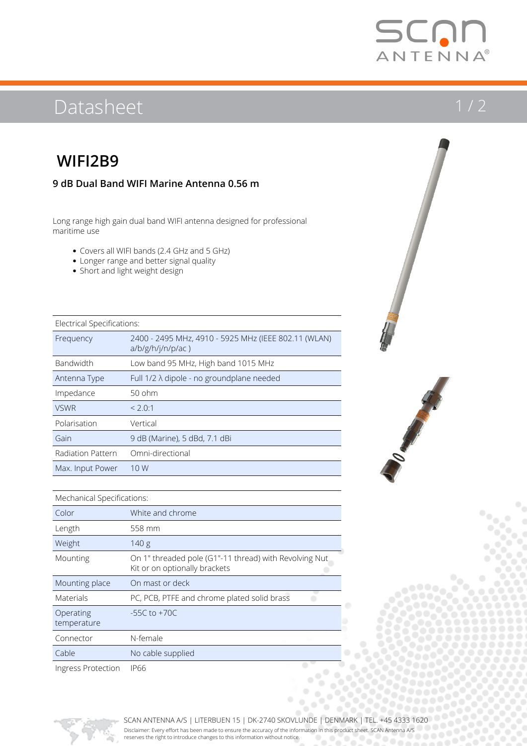# SCNI ANTENNA®

# Datasheet 1/2

## **WIFI2B9**

## **9 dB Dual Band WIFI Marine Antenna 0.56 m**

Long range high gain dual band WIFI antenna designed for professional maritime use

- Covers all WIFI bands (2.4 GHz and 5 GHz)
- Longer range and better signal quality
- Short and light weight design

| Electrical Specifications: |                                                                              |  |  |
|----------------------------|------------------------------------------------------------------------------|--|--|
| Frequency                  | 2400 - 2495 MHz, 4910 - 5925 MHz (IEEE 802.11 (WLAN)<br>$a/b/g/h/j/n/p/ac$ ) |  |  |
| Bandwidth                  | Low band 95 MHz, High band 1015 MHz                                          |  |  |
| Antenna Type               | Full $1/2 \lambda$ dipole - no groundplane needed                            |  |  |
| Impedance                  | $50$ ohm                                                                     |  |  |
| <b>VSWR</b>                | < 2.0:1                                                                      |  |  |
| Polarisation               | Vertical                                                                     |  |  |
| Gain                       | 9 dB (Marine), 5 dBd, 7.1 dBi                                                |  |  |
| Radiation Pattern          | Omni-directional                                                             |  |  |
| Max. Input Power           | 10 W                                                                         |  |  |
|                            |                                                                              |  |  |



### Mechanical Specifications:

| Color                    | White and chrome                                                                        |  |  |  |
|--------------------------|-----------------------------------------------------------------------------------------|--|--|--|
| Length                   | 558 mm                                                                                  |  |  |  |
| Weight                   | 140 g                                                                                   |  |  |  |
| Mounting                 | On 1" threaded pole (G1"-11 thread) with Revolving Nut<br>Kit or on optionally brackets |  |  |  |
| Mounting place           | On mast or deck                                                                         |  |  |  |
| Materials                | PC, PCB, PTFE and chrome plated solid brass                                             |  |  |  |
| Operating<br>temperature | $-55C$ to $+70C$                                                                        |  |  |  |
| Connector                | N-female                                                                                |  |  |  |
| Cable                    | No cable supplied                                                                       |  |  |  |
| Ingress Protection       | <b>IP66</b>                                                                             |  |  |  |